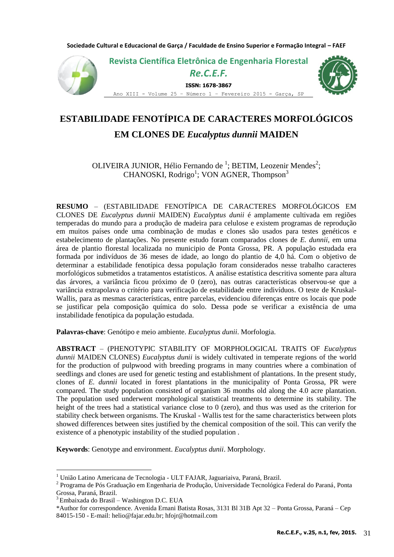**Sociedade Cultural e Educacional de Garça / Faculdade de Ensino Superior e Formação Integral – FAEF**



# **ESTABILIDADE FENOTÍPICA DE CARACTERES MORFOLÓGICOS**

# **EM CLONES DE** *Eucalyptus dunnii* **MAIDEN**

OLIVEIRA JUNIOR, Hélio Fernando de <sup>1</sup>; BETIM, Leozenir Mendes<sup>2</sup>; CHANOSKI, Rodrigo<sup>1</sup>; VON AGNER, Thompson<sup>3</sup>

**RESUMO** – (ESTABILIDADE FENOTÍPICA DE CARACTERES MORFOLÓGICOS EM CLONES DE *Eucalyptus dunnii* MAIDEN) *Eucalyptus dunii* é amplamente cultivada em regiões temperadas do mundo para a produção de madeira para celulose e existem programas de reprodução em muitos países onde uma combinação de mudas e clones são usados para testes genéticos e estabelecimento de plantações. No presente estudo foram comparados clones de *E. dunnii*, em uma área de plantio florestal localizada no municipio de Ponta Grossa, PR. A população estudada era formada por indivíduos de 36 meses de idade, ao longo do plantio de 4,0 há. Com o objetivo de determinar a estabilidade fenotípica dessa população foram considerados nesse trabalho caracteres morfológicos submetidos a tratamentos estatísticos. A análise estatística descritiva somente para altura das árvores, a variância ficou próximo de 0 (zero), nas outras características observou-se que a variância extrapolava o critério para verificação de estabilidade entre indivíduos. O teste de Kruskal-Wallis, para as mesmas características, entre parcelas, evidenciou diferenças entre os locais que pode se justificar pela composição química do solo. Dessa pode se verificar a existência de uma instabilidade fenotípica da população estudada.

**Palavras-chave**: Genótipo e meio ambiente. *Eucalyptus dunii*. Morfologia.

**ABSTRACT** – (PHENOTYPIC STABILITY OF MORPHOLOGICAL TRAITS OF *Eucalyptus dunnii* MAIDEN CLONES) *Eucalyptus dunii* is widely cultivated in temperate regions of the world for the production of pulpwood with breeding programs in many countries where a combination of seedlings and clones are used for genetic testing and establishment of plantations. In the present study, clones of *E. dunnii* located in forest plantations in the municipality of Ponta Grossa, PR were compared. The study population consisted of organism 36 months old along the 4.0 acre plantation. The population used underwent morphological statistical treatments to determine its stability. The height of the trees had a statistical variance close to 0 (zero), and thus was used as the criterion for stability check between organisms. The Kruskal - Wallis test for the same characteristics between plots showed differences between sites justified by the chemical composition of the soil. This can verify the existence of a phenotypic instability of the studied population .

**Keywords**: Genotype and environment. *Eucalyptus dunii*. Morphology.

1

<sup>1</sup> União Latino Americana de Tecnologia - ULT FAJAR, Jaguariaiva, Paraná, Brazil.

<sup>&</sup>lt;sup>2</sup> Programa de Pós Graduação em Engenharia de Produção, Universidade Tecnológica Federal do Paraná, Ponta Grossa, Paraná, Brazil.

<sup>3</sup>Embaixada do Brasil – Washington D.C. EUA

<sup>\*</sup>Author for correspondence. Avenida Ernani Batista Rosas, 3131 Bl 31B Apt 32 – Ponta Grossa, Paraná – Cep 84015-150 - E-mail: helio@fajar.edu.br; hfojr@hotmail.com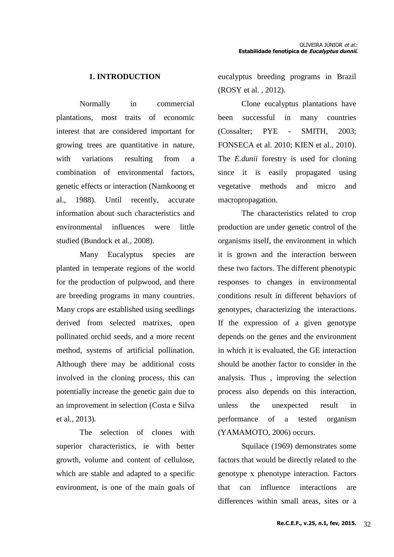## **1. INTRODUCTION**

Normally in commercial plantations, most traits of economic interest that are considered important for growing trees are quantitative in nature, with variations resulting from a combination of environmental factors, genetic effects or interaction (Namkoong et al., 1988). Until recently, accurate information about such characteristics and environmental influences were little studied (Bundock et al., 2008).

Many Eucalyptus species are planted in temperate regions of the world for the production of pulpwood, and there are breeding programs in many countries. Many crops are established using seedlings derived from selected matrixes, open pollinated orchid seeds, and a more recent method, systems of artificial pollination. Although there may be additional costs involved in the cloning process, this can potentially increase the genetic gain due to an improvement in selection (Costa e Silva et al., 2013).

The selection of clones with superior characteristics, ie with better growth, volume and content of cellulose, which are stable and adapted to a specific environment, is one of the main goals of eucalyptus breeding programs in Brazil (ROSY et al. , 2012).

Clone eucalyptus plantations have been successful in many countries (Cossalter; PYE - SMITH, 2003; FONSECA et al. 2010; KIEN et al., 2010). The *E.dunii* forestry is used for cloning since it is easily propagated using vegetative methods and micro and macropropagation.

The characteristics related to crop production are under genetic control of the organisms itself, the environment in which it is grown and the interaction between these two factors. The different phenotypic responses to changes in environmental conditions result in different behaviors of genotypes, characterizing the interactions. If the expression of a given genotype depends on the genes and the environment in which it is evaluated, the GE interaction should be another factor to consider in the analysis. Thus , improving the selection process also depends on this interaction, unless the unexpected result in performance of a tested organism (YAMAMOTO, 2006) occurs.

Squilace (1969) demonstrates some factors that would be directly related to the genotype x phenotype interaction. Factors that can influence interactions are differences within small areas, sites or a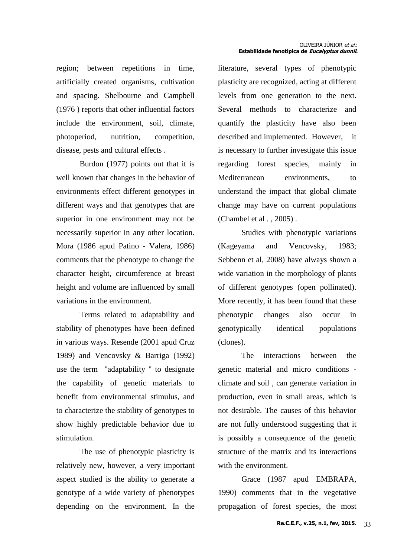region; between repetitions in time, artificially created organisms, cultivation and spacing. Shelbourne and Campbell (1976 ) reports that other influential factors include the environment, soil, climate, photoperiod, nutrition, competition, disease, pests and cultural effects .

Burdon (1977) points out that it is well known that changes in the behavior of environments effect different genotypes in different ways and that genotypes that are superior in one environment may not be necessarily superior in any other location. Mora (1986 apud Patino - Valera, 1986) comments that the phenotype to change the character height, circumference at breast height and volume are influenced by small variations in the environment.

Terms related to adaptability and stability of phenotypes have been defined in various ways. Resende (2001 apud Cruz 1989) and Vencovsky & Barriga (1992) use the term "adaptability " to designate the capability of genetic materials to benefit from environmental stimulus, and to characterize the stability of genotypes to show highly predictable behavior due to stimulation.

The use of phenotypic plasticity is relatively new, however, a very important aspect studied is the ability to generate a genotype of a wide variety of phenotypes depending on the environment. In the

literature, several types of phenotypic plasticity are recognized, acting at different levels from one generation to the next. Several methods to characterize and quantify the plasticity have also been described and implemented. However, it is necessary to further investigate this issue regarding forest species, mainly in Mediterranean environments, to understand the impact that global climate change may have on current populations (Chambel et al . , 2005) .

Studies with phenotypic variations (Kageyama and Vencovsky, 1983; Sebbenn et al, 2008) have always shown a wide variation in the morphology of plants of different genotypes (open pollinated). More recently, it has been found that these phenotypic changes also occur in genotypically identical populations (clones).

The interactions between the genetic material and micro conditions climate and soil , can generate variation in production, even in small areas, which is not desirable. The causes of this behavior are not fully understood suggesting that it is possibly a consequence of the genetic structure of the matrix and its interactions with the environment.

Grace (1987 apud EMBRAPA, 1990) comments that in the vegetative propagation of forest species, the most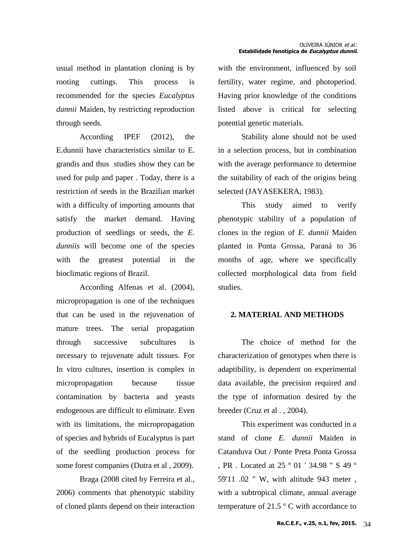usual method in plantation cloning is by rooting cuttings. This process is recommended for the species *Eucalyptus dunnii* Maiden, by restricting reproduction through seeds.

According IPEF (2012), the E.dunnii have characteristics similar to E. grandis and thus studies show they can be used for pulp and paper . Today, there is a restriction of seeds in the Brazilian market with a difficulty of importing amounts that satisfy the market demand. Having production of seedlings or seeds, the *E. dunniis* will become one of the species with the greatest potential in the bioclimatic regions of Brazil.

According Alfenas et al. (2004), micropropagation is one of the techniques that can be used in the rejuvenation of mature trees. The serial propagation through successive subcultures is necessary to rejuvenate adult tissues. For In vitro cultures, insertion is complex in micropropagation because tissue contamination by bacteria and yeasts endogenous are difficult to eliminate. Even with its limitations, the micropropagation of species and hybrids of Eucalyptus is part of the seedling production process for some forest companies (Dutra et al , 2009).

Braga (2008 cited by Ferreira et al., 2006) comments that phenotypic stability of cloned plants depend on their interaction with the environment, influenced by soil fertility, water regime, and photoperiod. Having prior knowledge of the conditions listed above is critical for selecting potential genetic materials.

Stability alone should not be used in a selection process, but in combination with the average performance to determine the suitability of each of the origins being selected (JAYASEKERA, 1983).

This study aimed to verify phenotypic stability of a population of clones in the region of *E. dunnii* Maiden planted in Ponta Grossa, Paraná to 36 months of age, where we specifically collected morphological data from field studies.

### **2. MATERIAL AND METHODS**

The choice of method for the characterization of genotypes when there is adaptibility, is dependent on experimental data available, the precision required and the type of information desired by the breeder (Cruz et al . , 2004).

This experiment was conducted in a stand of clone *E. dunnii* Maiden in Catanduva Out / Ponte Preta Ponta Grossa , PR . Located at 25 º 01 ' 34.98 " S 49 º 59'11 .02 " W, with altitude 943 meter , with a subtropical climate, annual average temperature of 21.5 º C with accordance to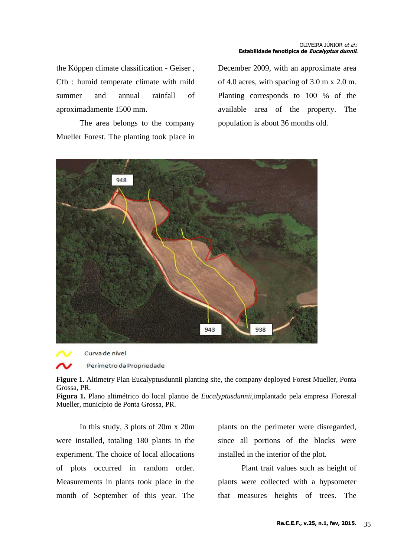the Köppen climate classification - Geiser , Cfb : humid temperate climate with mild summer and annual rainfall of aproximadamente 1500 mm.

The area belongs to the company Mueller Forest. The planting took place in December 2009, with an approximate area of 4.0 acres, with spacing of 3.0 m x 2.0 m. Planting corresponds to 100 % of the available area of the property. The population is about 36 months old.





Curva de nível

Perímetro da Propriedade

**Figure 1**. Altimetry Plan Eucalyptusdunnii planting site, the company deployed Forest Mueller, Ponta Grossa, PR.

**Figura 1.** Plano altimétrico do local plantio de *Eucalyptusdunnii,*implantado pela empresa Florestal Mueller, município de Ponta Grossa, PR.

In this study, 3 plots of 20m x 20m were installed, totaling 180 plants in the experiment. The choice of local allocations of plots occurred in random order. Measurements in plants took place in the month of September of this year. The plants on the perimeter were disregarded, since all portions of the blocks were installed in the interior of the plot.

Plant trait values such as height of plants were collected with a hypsometer that measures heights of trees. The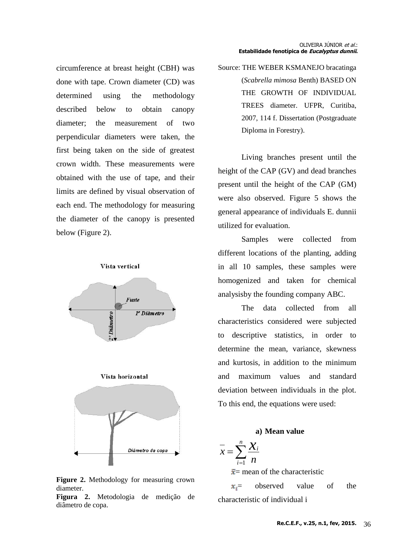circumference at breast height (CBH) was done with tape. Crown diameter (CD) was determined using the methodology described below to obtain canopy diameter; the measurement of two perpendicular diameters were taken, the first being taken on the side of greatest crown width. These measurements were obtained with the use of tape, and their limits are defined by visual observation of each end. The methodology for measuring the diameter of the canopy is presented below (Figure 2).

#### Vista vertical







**Figure 2.** Methodology for measuring crown diameter.

**Figura 2.** Metodologia de medição de diâmetro de copa.

Source: THE WEBER KSMANEJO bracatinga (*Scabrella mimosa* Benth) BASED ON THE GROWTH OF INDIVIDUAL TREES diameter. UFPR, Curitiba, 2007, 114 f. Dissertation (Postgraduate Diploma in Forestry).

Living branches present until the height of the CAP (GV) and dead branches present until the height of the CAP (GM) were also observed. Figure 5 shows the general appearance of individuals E. dunnii utilized for evaluation.

Samples were collected from different locations of the planting, adding in all 10 samples, these samples were homogenized and taken for chemical analysisby the founding company ABC.

The data collected from all characteristics considered were subjected to descriptive statistics, in order to determine the mean, variance, skewness and kurtosis, in addition to the minimum and maximum values and standard deviation between individuals in the plot. To this end, the equations were used:

#### **a) Mean value**

$$
\overline{x} = \sum_{i=1}^{n} \frac{\chi_i}{n}
$$
  

$$
\overline{x}
$$
 mean of the characteristics

mean of the characteristic

 $x =$  observed value of the characteristic of individual i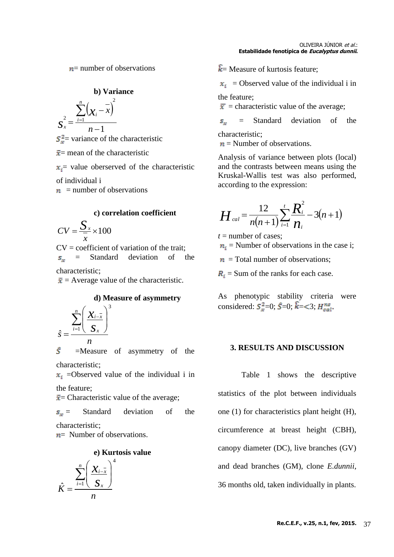$n=$  number of observations

**b) Variance** 

$$
S_{x}^{2} = \frac{\sum_{i=1}^{n} (x_{i} - \bar{x})^{2}}{n-1}
$$

 $S_x^2$  variance of the characteristic

 $\bar{x}$  = mean of the characteristic

 $x_i$  value oberserved of the characteristic

of individual i

 $n =$  number of observations

#### **c) correlation coefficient**

$$
CV = \frac{S_x}{\overline{x}} \times 100
$$

 $CV = coefficient of variation of the trait;$  $S_{\infty}$ = Standard deviation of the

characteristic;

 $\bar{x}$  = Average value of the characteristic.

#### **d) Measure of asymmetry**

$$
\hat{S} = \frac{\sum_{i=1}^{n} \left( \frac{\mathbf{X}_{i-\overline{x}}}{\mathbf{S}_x} \right)^3}{n}
$$

 $\hat{S}$  =Measure of asymmetry of the characteristic;

 $x_i$  =Observed value of the individual i in the feature;

 $\bar{x}$  = Characteristic value of the average;

 $s_n =$  Standard deviation of the characteristic;

 $n=$  Number of observations.

# **e) Kurtosis value**



 $\overline{k}$  = Measure of kurtosis feature;

 $x_i$  = Observed value of the individual i in

the feature;

 $\bar{x}$  = characteristic value of the average;

Standard deviation of the  $S_{\infty}$ characteristic;

 $n =$  Number of observations.

Analysis of variance between plots (local) and the contrasts between means using the Kruskal-Wallis test was also performed, according to the expression:

$$
H_{cal} = \frac{12}{n(n+1)} \sum_{i=1}^{t} \frac{R_i^2}{n_i} - 3(n+1)
$$

 $t =$  number of cases:

 $n_i$  = Number of observations in the case i;

 $n =$  Total number of observations;

 $R_i$  = Sum of the ranks for each case.

As phenotypic stability criteria were considered:  $S_x^2=0$ ;  $\hat{S}=0$ ;  $\hat{k}=<3$ ;  $H_{cal}^{ns}$ 

#### **3. RESULTS AND DISCUSSION**

Table 1 shows the descriptive statistics of the plot between individuals one (1) for characteristics plant height (H), circumference at breast height (CBH), canopy diameter (DC), live branches (GV) and dead branches (GM), clone *E.dunnii*, 36 months old, taken individually in plants.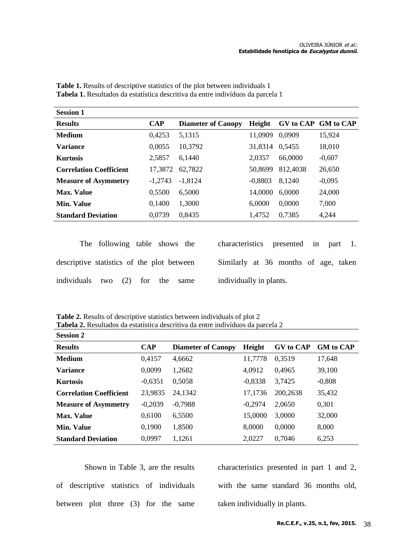| <b>Session 1</b>               |            |                           |           |          |                     |
|--------------------------------|------------|---------------------------|-----------|----------|---------------------|
| <b>Results</b>                 | <b>CAP</b> | <b>Diameter of Canopy</b> | Height    |          | GV to CAP GM to CAP |
| <b>Medium</b>                  | 0,4253     | 5,1315                    | 11,0909   | 0,0909   | 15,924              |
| <b>Variance</b>                | 0,0055     | 10,3792                   | 31,8314   | 0,5455   | 18,010              |
| <b>Kurtosis</b>                | 2,5857     | 6,1440                    | 2,0357    | 66,0000  | $-0,607$            |
| <b>Correlation Coefficient</b> | 17,3872    | 62,7822                   | 50,8699   | 812,4038 | 26,650              |
| <b>Measure of Asymmetry</b>    | $-1,2743$  | $-1,8124$                 | $-0,8803$ | 8,1240   | $-0,095$            |
| <b>Max. Value</b>              | 0,5500     | 6,5000                    | 14,0000   | 6,0000   | 24,000              |
| <b>Min. Value</b>              | 0,1400     | 1,3000                    | 6,0000    | 0,0000   | 7,000               |
| <b>Standard Deviation</b>      | 0,0739     | 0,8435                    | 1,4752    | 0,7385   | 4,244               |
|                                |            |                           |           |          |                     |

**Table 1.** Results of descriptive statistics of the plot between individuals 1 **Tabela 1.** Resultados da estatística descritiva da entre indivíduos da parcela 1

|                                            | The following table shows the |  |      | characteristics presented in part 1. |  |  |  |
|--------------------------------------------|-------------------------------|--|------|--------------------------------------|--|--|--|
| descriptive statistics of the plot between |                               |  |      | Similarly at 36 months of age, taken |  |  |  |
| individuals two (2) for the                |                               |  | same | individually in plants.              |  |  |  |

**Table 2.** Results of descriptive statistics between individuals of plot 2 **Tabela 2.** Resultados da estatística descritiva da entre indivíduos da parcela 2

| <b>Session 2</b>               |            |                           |           |                  |                  |
|--------------------------------|------------|---------------------------|-----------|------------------|------------------|
| <b>Results</b>                 | <b>CAP</b> | <b>Diameter of Canopy</b> | Height    | <b>GV</b> to CAP | <b>GM</b> to CAP |
| <b>Medium</b>                  | 0,4157     | 4,6662                    | 11,7778   | 0.3519           | 17,648           |
| <b>Variance</b>                | 0,0099     | 1,2682                    | 4,0912    | 0,4965           | 39,100           |
| <b>Kurtosis</b>                | $-0.6351$  | 0,5058                    | $-0.8338$ | 3,7425           | $-0,808$         |
| <b>Correlation Coefficient</b> | 23,9835    | 24,1342                   | 17,1736   | 200,2638         | 35,432           |
| <b>Measure of Asymmetry</b>    | $-0,2039$  | $-0,7988$                 | $-0.2974$ | 2,0650           | 0,301            |
| <b>Max. Value</b>              | 0,6100     | 6,5500                    | 15,0000   | 3,0000           | 32,000           |
| <b>Min. Value</b>              | 0,1900     | 1,8500                    | 8,0000    | 0,0000           | 8,000            |
| <b>Standard Deviation</b>      | 0,0997     | 1,1261                    | 2,0227    | 0,7046           | 6,253            |

Shown in Table 3, are the results of descriptive statistics of individuals between plot three (3) for the same

characteristics presented in part 1 and 2, with the same standard 36 months old, taken individually in plants.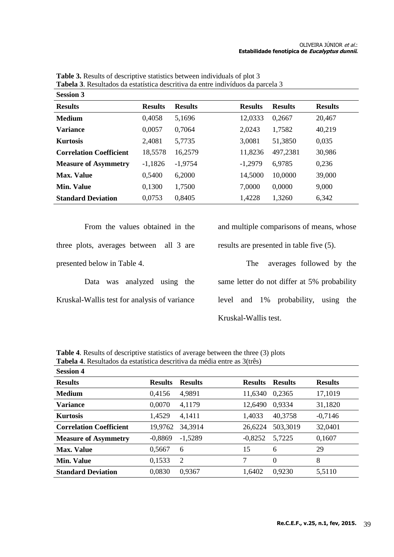| <b>Results</b>                 | <b>Results</b> | <b>Results</b> | <b>Results</b> | <b>Results</b> | <b>Results</b> |
|--------------------------------|----------------|----------------|----------------|----------------|----------------|
| <b>Medium</b>                  | 0,4058         | 5,1696         | 12,0333        | 0,2667         | 20,467         |
| <b>Variance</b>                | 0,0057         | 0,7064         | 2,0243         | 1,7582         | 40,219         |
| <b>Kurtosis</b>                | 2,4081         | 5,7735         | 3,0081         | 51,3850        | 0,035          |
| <b>Correlation Coefficient</b> | 18,5578        | 16,2579        | 11,8236        | 497,2381       | 30,986         |
| <b>Measure of Asymmetry</b>    | $-1,1826$      | $-1,9754$      | $-1,2979$      | 6,9785         | 0,236          |
| <b>Max. Value</b>              | 0,5400         | 6,2000         | 14,5000        | 10,0000        | 39,000         |
| <b>Min. Value</b>              | 0,1300         | 1,7500         | 7,0000         | 0,0000         | 9,000          |
| <b>Standard Deviation</b>      | 0,0753         | 0,8405         | 1,4228         | 1,3260         | 6,342          |
|                                |                |                |                |                |                |

**Table 3.** Results of descriptive statistics between individuals of plot 3 **Tabela 3**. Resultados da estatística descritiva da entre indivíduos da parcela 3 **Session 3**

From the values obtained in the three plots, averages between all 3 are presented below in Table 4.

Data was analyzed using the Kruskal-Wallis test for analysis of variance and multiple comparisons of means, whose results are presented in table five (5).

The averages followed by the same letter do not differ at 5% probability level and 1% probability, using the Kruskal-Wallis test.

**Table 4**. Results of descriptive statistics of average between the three (3) plots **Tabela 4**. Resultados da estatística descritiva da média entre as 3(três)

| <b>Session 4</b>               |                |                |                |                |                |
|--------------------------------|----------------|----------------|----------------|----------------|----------------|
| <b>Results</b>                 | <b>Results</b> | <b>Results</b> | <b>Results</b> | <b>Results</b> | <b>Results</b> |
| Medium                         | 0,4156         | 4,9891         | 11,6340        | 0,2365         | 17,1019        |
| <b>Variance</b>                | 0,0070         | 4,1179         | 12,6490        | 0,9334         | 31,1820        |
| <b>Kurtosis</b>                | 1,4529         | 4,1411         | 1,4033         | 40,3758        | $-0,7146$      |
| <b>Correlation Coefficient</b> | 19,9762        | 34,3914        | 26,6224        | 503,3019       | 32,0401        |
| <b>Measure of Asymmetry</b>    | $-0,8869$      | $-1,5289$      | $-0,8252$      | 5,7225         | 0,1607         |
| <b>Max. Value</b>              | 0.5667         | 6              | 15             | 6              | 29             |
| Min. Value                     | 0,1533         | $\overline{2}$ | 7              | $\Omega$       | 8              |
| <b>Standard Deviation</b>      | 0,0830         | 0,9367         | 1,6402         | 0,9230         | 5,5110         |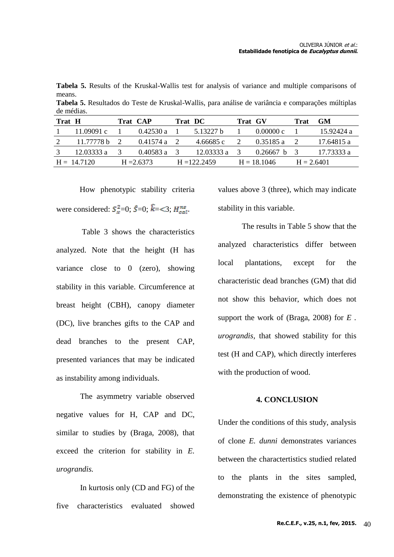**Tabela 5.** Results of the Kruskal-Wallis test for analysis of variance and multiple comparisons of means.

| de médias. |            |  |           |         |            |         |           |      |            |
|------------|------------|--|-----------|---------|------------|---------|-----------|------|------------|
| Trat H     |            |  | Trat CAP  | Trat DC |            | Trat GV |           | Trat | GM         |
|            | 11.09091 c |  | 0.42530 a |         | .5.13227 b |         | 0.00000c  |      | 15.92424 a |
| 2          | 11.77778 b |  | 0.41574 a |         | 4.66685 c  |         | 0.35185 a |      | 17.64815 a |

3 12.03333 a 3 0.40583 a 3 12.03333 a 3 0.26667 b 3 17.73333 a

 $H = 14.7120$   $H = 2.6373$   $H = 122.2459$   $H = 18.1046$   $H = 2.6401$ 

**Tabela 5.** Resultados do Teste de Kruskal-Wallis, para análise de variância e comparações múltiplas

How phenotypic stability criteria were considered:  $S_x^2=0$ ;  $\hat{S}=0$ ;  $\hat{k}=<3$ ;  $H_{cal}^{ns}$ .

Table 3 shows the characteristics analyzed. Note that the height (H has variance close to 0 (zero), showing stability in this variable. Circumference at breast height (CBH), canopy diameter (DC), live branches gifts to the CAP and dead branches to the present CAP, presented variances that may be indicated as instability among individuals.

The asymmetry variable observed negative values for H, CAP and DC, similar to studies by (Braga, 2008), that exceed the criterion for stability in *E. urograndis.*

In kurtosis only (CD and FG) of the five characteristics evaluated showed values above 3 (three), which may indicate stability in this variable.

The results in Table 5 show that the analyzed characteristics differ between local plantations, except for the characteristic dead branches (GM) that did not show this behavior, which does not support the work of (Braga, 2008) for *E . urograndis,* that showed stability for this test (H and CAP), which directly interferes with the production of wood.

#### **4. CONCLUSION**

Under the conditions of this study, analysis of clone *E. dunni* demonstrates variances between the charactertistics studied related to the plants in the sites sampled, demonstrating the existence of phenotypic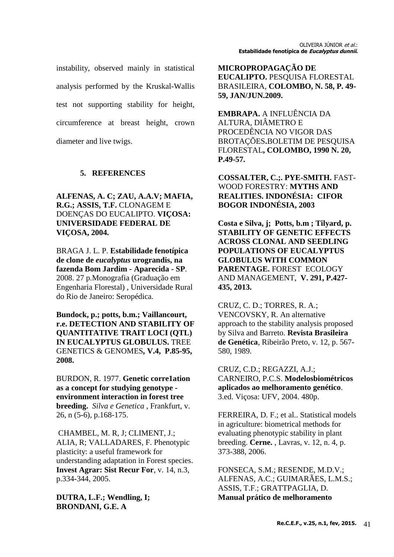instability, observed mainly in statistical analysis performed by the Kruskal-Wallis test not supporting stability for height, circumference at breast height, crown diameter and live twigs.

# **5. REFERENCES**

**ALFENAS, A. C; ZAU, A.A.V; MAFIA, R.G.; ASSIS, T.F.** CLONAGEM E DOENÇAS DO EUCALIPTO. **VIÇOSA: UNIVERSIDADE FEDERAL DE VIÇOSA, 2004.**

BRAGA J. L. P. **Estabilidade fenotípica de clone de** *eucalyptus* **urograndis, na fazenda Bom Jardim - Aparecida - SP**. 2008. 27 p.Monografia (Graduação em Engenharia Florestal) , Universidade Rural do Rio de Janeiro: Seropédica.

**Bundock, p.; potts, b.m.; Vaillancourt, r.e. DETECTION AND STABILITY OF QUANTITATIVE TRAIT LOCI (QTL) IN EUCALYPTUS GLOBULUS.** TREE GENETICS & GENOMES*,* **V.4, P.85-95, 2008.**

BURDON, R. 1977. **Genetic corre1ation as a concept for studying genotype environment interaction in forest tree breeding.** *Silva e Genetica ,* Frankfurt, v. 26, n (5-6), p.168-175.

CHAMBEL, M. R, J; CLIMENT, J.; ALIA, R; VALLADARES, F. Phenotypic plasticity: a useful framework for understanding adaptation in Forest species. **Invest Agrar: Sist Recur For**, v. 14, n.3, p.334-344, 2005.

**DUTRA, L.F.; Wendling, I; BRONDANI, G.E. A** 

**MICROPROPAGAÇÃO DE EUCALIPTO.** PESQUISA FLORESTAL BRASILEIRA, **COLOMBO, N. 58, P. 49- 59, JAN/JUN.2009.**

**EMBRAPA.** A INFLUÊNCIA DA ALTURA, DIÂMETRO E PROCEDÊNCIA NO VIGOR DAS BROTAÇÕES**.**BOLETIM DE PESQUISA FLORESTAL**, COLOMBO, 1990 N. 20, P.49-57.**

**COSSALTER, C.;. PYE-SMITH.** FAST-WOOD FORESTRY: **MYTHS AND REALITIES. INDONÉSIA: CIFOR BOGOR INDONÉSIA, 2003**

**Costa e Silva, j; Potts, b.m ; Tilyard, p. STABILITY OF GENETIC EFFECTS ACROSS CLONAL AND SEEDLING POPULATIONS OF EUCALYPTUS GLOBULUS WITH COMMON PARENTAGE.** FOREST ECOLOGY AND MANAGEMENT, **V. 291, P.427- 435, 2013.**

CRUZ, C. D.; TORRES, R. A.; VENCOVSKY, R. An alternative approach to the stability analysis proposed by Silva and Barreto. **Revista Brasileira de Genética**, Ribeirão Preto, v. 12, p. 567- 580, 1989.

CRUZ, C.D.; REGAZZI, A.J.; CARNEIRO, P.C.S. **Modelosbiométricos aplicados ao melhoramento genético**. 3.ed. Viçosa: UFV, 2004. 480p.

FERREIRA, D. F.; et al.. Statistical models in agriculture: biometrical methods for evaluating phenotypic stability in plant breeding. **Cerne.** , Lavras, v. 12, n. 4, p. 373-388, 2006.

FONSECA, S.M.; RESENDE, M.D.V.; ALFENAS, A.C.; GUIMARÃES, L.M.S.; ASSIS, T.F.; GRATTPAGLIA, D. **Manual prático de melhoramento**